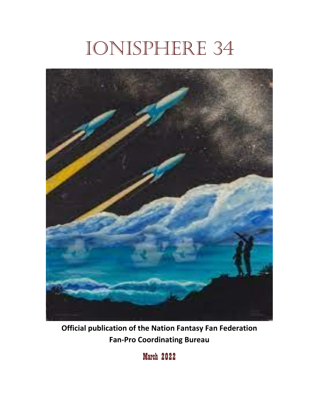# Ionisphere 34



**Official publication of the Nation Fantasy Fan Federation Fan-Pro Coordinating Bureau**

March 2022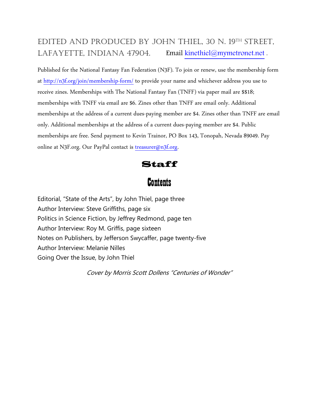## Edited and Produced by JoHN THIEL, 30 N. 19th Street, LAFAYETTE, INDIANA 47904. Email [kinethiel@mymetronet.net](mailto:kinethiel@mymetronet.net).

Published for the National Fantasy Fan Federation (N3F). To join or renew, use the membership form at<http://n3f.org/join/membership-form/> to provide your name and whichever address you use to receive zines. Memberships with The National Fantasy Fan (TNFF) via paper mail are \$\$18; memberships with TNFF via email are \$6. Zines other than TNFF are email only. Additional memberships at the address of a current dues-paying member are \$4. Zines other than TNFF are email only. Additional memberships at the address of a current dues-paying member are \$4. Public memberships are free. Send payment to Kevin Trainor, PO Box 143, Tonopah, Nevada 89049. Pay online at N3F.org. Our PayPal contact is [treasurer@n3f.org.](mailto:treasurer@n3f.org)

## Staff

# **Contents**

Editorial, "State of the Arts", by John Thiel, page three Author Interview: Steve Griffiths, page six Politics in Science Fiction, by Jeffrey Redmond, page ten Author Interview: Roy M. Griffis, page sixteen Notes on Publishers, by Jefferson Swycaffer, page twenty-five Author Interview: Melanie Nilles Going Over the Issue, by John Thiel

Cover by Morris Scott Dollens "Centuries of Wonder"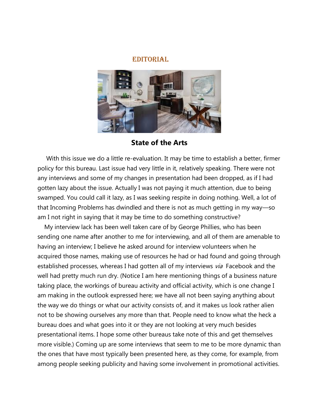#### **EDITORIAL**



**State of the Arts**

With this issue we do a little re-evaluation. It may be time to establish a better, firmer policy for this bureau. Last issue had very little in it, relatively speaking. There were not any interviews and some of my changes in presentation had been dropped, as if I had gotten lazy about the issue. Actually I was not paying it much attention, due to being swamped. You could call it lazy, as I was seeking respite in doing nothing. Well, a lot of that Incoming Problems has dwindled and there is not as much getting in my way—so am I not right in saying that it may be time to do something constructive?

 My interview lack has been well taken care of by George Phillies, who has been sending one name after another to me for interviewing, and all of them are amenable to having an interview; I believe he asked around for interview volunteers when he acquired those names, making use of resources he had or had found and going through established processes, whereas I had gotten all of my interviews via Facebook and the well had pretty much run dry. (Notice I am here mentioning things of a business nature taking place, the workings of bureau activity and official activity, which is one change I am making in the outlook expressed here; we have all not been saying anything about the way we do things or what our activity consists of, and it makes us look rather alien not to be showing ourselves any more than that. People need to know what the heck a bureau does and what goes into it or they are not looking at very much besides presentational items. I hope some other bureaus take note of this and get themselves more visible.) Coming up are some interviews that seem to me to be more dynamic than the ones that have most typically been presented here, as they come, for example, from among people seeking publicity and having some involvement in promotional activities.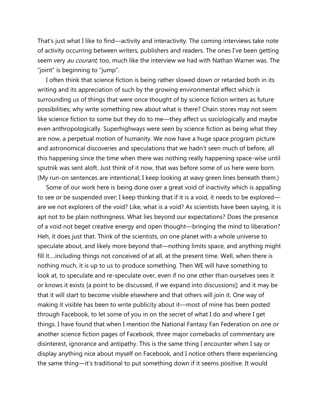That's just what I like to find—activity and interactivity. The coming interviews take note of activity occurring between writers, publishers and readers. The ones I've been getting seem very *au courant*, too, much like the interview we had with Nathan Warner was. The "joint" is beginning to "jump".

 I often think that science fiction is being rather slowed down or retarded both in its writing and its appreciation of such by the growing environmental effect which is surrounding us of things that were once thought of by science fiction writers as future possibilities; why write something new about what is there? Chain stores may not seem like science fiction to some but they do to me—they affect us sociologically and maybe even anthropologically. Superhighways were seen by science fiction as being what they are now, a perpetual motion of humanity. We now have a huge space program picture and astronomical discoveries and speculations that we hadn't seen much of before, all this happening since the time when there was nothing really happening space-wise until sputnik was sent aloft. Just think of it now, that was before some of us here were born. (My run-on sentences are intentional; I keep looking at wavy green lines beneath them.)

 Some of our work here is being done over a great void of inactivity which is appalling to see or be suspended over; I keep thinking that if it is a void, it needs to be explored are we not explorers of the void? Like, what is a void? As scientists have been saying, it is apt not to be plain nothingness. What lies beyond our expectations? Does the presence of a void not beget creative energy and open thought—bringing the mind to liberation? Heh, it does just that. Think of the scientists, on one planet with a whole universe to speculate about, and likely more beyond that—nothing limits space, and anything might fill it….including things not conceived of at all, at the present time. Well, when there is nothing much, it is up to us to produce something. Then WE will have something to look at, to speculate and re-speculate over, even if no one other than ourselves sees it or knows it exists [a point to be discussed, if we expand into discussions]; and it may be that it will start to become visible elsewhere and that others will join it. One way of making it visible has been to write publicity about it—most of mine has been posted through Facebook, to let some of you in on the secret of what I do and where I get things. I have found that when I mention the National Fantasy Fan Federation on one or another science fiction pages of Facebook, three major comebacks of commentary are disinterest, ignorance and antipathy. This is the same thing I encounter when I say or display anything nice about myself on Facebook, and I notice others there experiencing the same thing—it's traditional to put something down if it seems positive. It would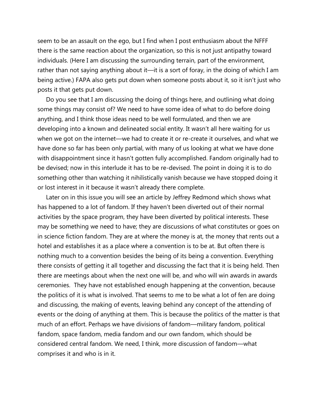seem to be an assault on the ego, but I find when I post enthusiasm about the NFFF there is the same reaction about the organization, so this is not just antipathy toward individuals. (Here I am discussing the surrounding terrain, part of the environment, rather than not saying anything about it—it is a sort of foray, in the doing of which I am being active.) FAPA also gets put down when someone posts about it, so it isn't just who posts it that gets put down.

 Do you see that I am discussing the doing of things here, and outlining what doing some things may consist of? We need to have some idea of what to do before doing anything, and I think those ideas need to be well formulated, and then we are developing into a known and delineated social entity. It wasn't all here waiting for us when we got on the internet—we had to create it or re-create it ourselves, and what we have done so far has been only partial, with many of us looking at what we have done with disappointment since it hasn't gotten fully accomplished. Fandom originally had to be devised; now in this interlude it has to be re-devised. The point in doing it is to do something other than watching it nihilistically vanish because we have stopped doing it or lost interest in it because it wasn't already there complete.

 Later on in this issue you will see an article by Jeffrey Redmond which shows what has happened to a lot of fandom. If they haven't been diverted out of their normal activities by the space program, they have been diverted by political interests. These may be something we need to have; they are discussions of what constitutes or goes on in science fiction fandom. They are at where the money is at, the money that rents out a hotel and establishes it as a place where a convention is to be at. But often there is nothing much to a convention besides the being of its being a convention. Everything there consists of getting it all together and discussing the fact that it is being held. Then there are meetings about when the next one will be, and who will win awards in awards ceremonies. They have not established enough happening at the convention, because the politics of it is what is involved. That seems to me to be what a lot of fen are doing and discussing, the making of events, leaving behind any concept of the attending of events or the doing of anything at them. This is because the politics of the matter is that much of an effort. Perhaps we have divisions of fandom—military fandom, political fandom, space fandom, media fandom and our own fandom, which should be considered central fandom. We need, I think, more discussion of fandom—what comprises it and who is in it.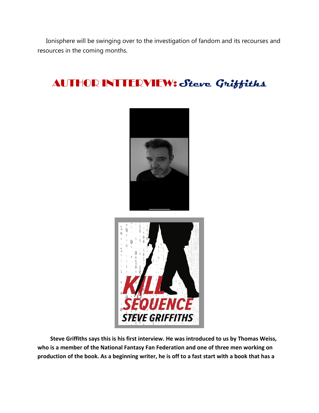Ionisphere will be swinging over to the investigation of fandom and its recourses and resources in the coming months.

# AUTHOR INTTERVIEW: **Steve Griffiths**





 **Steve Griffiths says this is his first interview. He was introduced to us by Thomas Weiss, who is a member of the National Fantasy Fan Federation and one of three men working on production of the book. As a beginning writer, he is off to a fast start with a book that has a**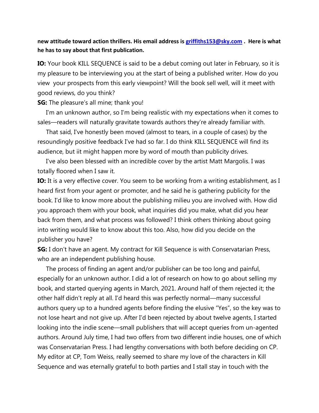### **new attitude toward action thrillers. His email address is [griffiths153@sky.com](mailto:griffiths153@sky.com) . Here is what he has to say about that first publication.**

**IO:** Your book KILL SEQUENCE is said to be a debut coming out later in February, so it is my pleasure to be interviewing you at the start of being a published writer. How do you view your prospects from this early viewpoint? Will the book sell well, will it meet with good reviews, do you think?

**SG:** The pleasure's all mine; thank you!

 I'm an unknown author, so I'm being realistic with my expectations when it comes to sales—readers will naturally gravitate towards authors they're already familiar with.

 That said, I've honestly been moved (almost to tears, in a couple of cases) by the resoundingly positive feedback I've had so far. I do think KILL SEQUENCE will find its audience, but iit might happen more by word of mouth than publicity drives.

 I've also been blessed with an incredible cover by the artist Matt Margolis. I was totally floored when I saw it.

**IO:** It is a very effective cover. You seem to be working from a writing establishment, as I heard first from your agent or promoter, and he said he is gathering publicity for the book. I'd like to know more about the publishing milieu you are involved with. How did you approach them with your book, what inquiries did you make, what did you hear back from them, and what process was followed? I think others thinking about going into writing would like to know about this too. Also, how did you decide on the publisher you have?

**SG:** I don't have an agent. My contract for Kill Sequence is with Conservatarian Press, who are an independent publishing house.

 The process of finding an agent and/or publisher can be too long and painful, especially for an unknown author. I did a lot of research on how to go about selling my book, and started querying agents in March, 2021. Around half of them rejected it; the other half didn't reply at all. I'd heard this was perfectly normal—many successful authors query up to a hundred agents before finding the elusive "Yes", so the key was to not lose heart and not give up. After I'd been rejected by about twelve agents, I started looking into the indie scene—small publishers that will accept queries from un-agented authors. Around July time, I had two offers from two different indie houses, one of which was Conservatarian Press. I had lengthy conversations with both before deciding on CP. My editor at CP, Tom Weiss, really seemed to share my love of the characters in Kill Sequence and was eternally grateful to both parties and I stall stay in touch with the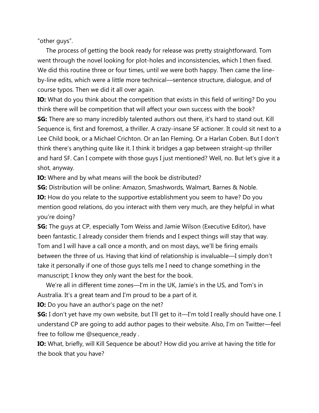"other guys".

 The process of getting the book ready for release was pretty straightforward. Tom went through the novel looking for plot-holes and inconsistencies, which I then fixed. We did this routine three or four times, until we were both happy. Then came the lineby-line edits, which were a little more technical—sentence structure, dialogue, and of course typos. Then we did it all over again.

**IO:** What do you think about the competition that exists in this field of writing? Do you think there will be competition that will affect your own success with the book? **SG:** There are so many incredibly talented authors out there, it's hard to stand out. Kill Sequence is, first and foremost, a thriller. A crazy-insane SF actioner. It could sit next to a Lee Child book, or a Michael Crichton. Or an Ian Fleming. Or a Harlan Coben. But I don't think there's anything quite like it. I think it bridges a gap between straight-up thriller and hard SF. Can I compete with those guys I just mentioned? Well, no. But let's give it a shot, anyway.

**IO:** Where and by what means will the book be distributed?

**SG:** Distribution will be online: Amazon, Smashwords, Walmart, Barnes & Noble. **IO:** How do you relate to the supportive establishment you seem to have? Do you mention good relations, do you interact with them very much, are they helpful in what you're doing?

**SG:** The guys at CP, especially Tom Weiss and Jamie Wilson (Executive Editor), have been fantastic. I already consider them friends and I expect things will stay that way. Tom and I will have a call once a month, and on most days, we'll be firing emails between the three of us. Having that kind of relationship is invaluable—I simply don't take it personally if one of those guys tells me I need to change something in the manuscript; I know they only want the best for the book.

 We're all in different time zones—I'm in the UK, Jamie's in the US, and Tom's in Australia. It's a great team and I'm proud to be a part of it.

**IO:** Do you have an author's page on the net?

**SG:** I don't yet have my own website, but I'll get to it—I'm told I really should have one. I understand CP are going to add author pages to their website. Also, I'm on Twitter—feel free to follow me @sequence\_ready .

**IO:** What, briefly, will Kill Sequence be about? How did you arrive at having the title for the book that you have?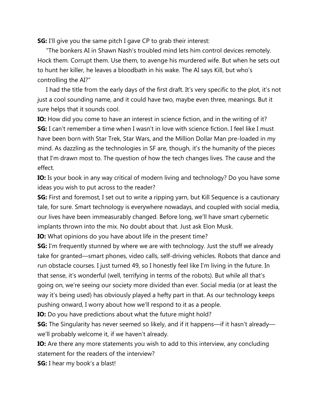**SG:** I'll give you the same pitch I gave CP to grab their interest:

 "The bonkers AI in Shawn Nash's troubled mind lets him control devices remotely. Hock them. Corrupt them. Use them, to avenge his murdered wife. But when he sets out to hunt her killer, he leaves a bloodbath in his wake. The AI says Kill, but who's controlling the AI?"

 I had the title from the early days of the first draft. It's very specific to the plot, it's not just a cool sounding name, and it could have two, maybe even three, meanings. But it sure helps that it sounds cool.

**IO:** How did you come to have an interest in science fiction, and in the writing of it? **SG:** I can't remember a time when I wasn't in love with science fiction. I feel like I must have been born with Star Trek, Star Wars, and the Million Dollar Man pre-loaded in my mind. As dazzling as the technologies in SF are, though, it's the humanity of the pieces that I'm drawn most to. The question of how the tech changes lives. The cause and the effect.

**IO:** Is your book in any way critical of modern living and technology? Do you have some ideas you wish to put across to the reader?

**SG:** First and foremost, I set out to write a ripping yarn, but Kill Sequence is a cautionary tale, for sure. Smart technology is everywhere nowadays, and coupled with social media, our lives have been immeasurably changed. Before long, we'll have smart cybernetic implants thrown into the mix. No doubt about that. Just ask Elon Musk.

**IO:** What opinions do you have about life in the present time?

**SG:** I'm frequently stunned by where we are with technology. Just the stuff we already take for granted—smart phones, video calls, self-driving vehicles. Robots that dance and run obstacle courses. I just turned 49, so I honestly feel like I'm living in the future. In that sense, it's wonderful (well, terrifying in terms of the robots). But while all that's going on, we're seeing our society more divided than ever. Social media (or at least the way it's being used) has obviously played a hefty part in that. As our technology keeps pushing onward, I worry about how we'll respond to it as a people.

**IO:** Do you have predictions about what the future might hold?

**SG:** The Singularity has never seemed so likely, and if it happens—if it hasn't already we'll probably welcome it, if we haven't already.

**IO:** Are there any more statements you wish to add to this interview, any concluding statement for the readers of the interview?

**SG:** I hear my book's a blast!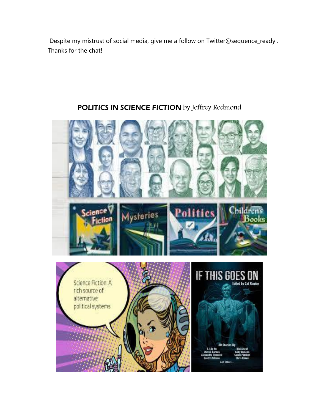Despite my mistrust of social media, give me a follow on Twitter@sequence\_ready . Thanks for the chat!



### POLITICS IN SCIENCE FICTION by Jeffrey Redmond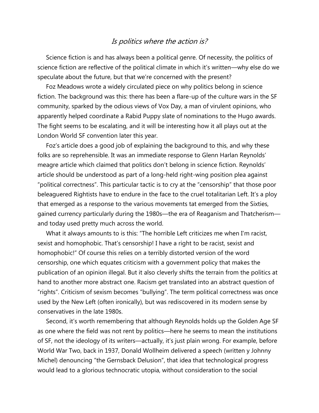### Is politics where the action is?

 Science fiction is and has always been a political genre. Of necessity, the politics of science fiction are reflective of the political climate in which it's written—why else do we speculate about the future, but that we're concerned with the present?

 Foz Meadows wrote a widely circulated piece on why politics belong in science fiction. The background was this: there has been a flare-up of the culture wars in the SF community, sparked by the odious views of Vox Day, a man of virulent opinions, who apparently helped coordinate a Rabid Puppy slate of nominations to the Hugo awards. The fight seems to be escalating, and it will be interesting how it all plays out at the London World SF convention later this year.

 Foz's article does a good job of explaining the background to this, and why these folks are so reprehensible. It was an immediate response to Glenn Harlan Reynolds' meagre article which claimed that politics don't belong in science fiction. Reynolds' article should be understood as part of a long-held right-wing position plea against "political correctness". This particular tactic is to cry at the "censorship" that those poor beleaguered Rightists have to endure in the face to the cruel totalitarian Left. It's a ploy that emerged as a response to the various movements tat emerged from the Sixties, gained currency particularly during the 1980s—the era of Reaganism and Thatcherism and today used pretty much across the world.

 What it always amounts to is this: "The horrible Left criticizes me when I'm racist, sexist and homophobic. That's censorship! I have a right to be racist, sexist and homophobic!" Of course this relies on a terribly distorted version of the word censorship, one which equates criticism with a government policy that makes the publication of an opinion illegal. But it also cleverly shifts the terrain from the politics at hand to another more abstract one. Racism get translated into an abstract question of "rights". Criticism of sexism becomes "bullying". The term political correctness was once used by the New Left (often ironically), but was rediscovered in its modern sense by conservatives in the late 1980s.

 Second, it's worth remembering that although Reynolds holds up the Golden Age SF as one where the field was not rent by politics—here he seems to mean the institutions of SF, not the ideology of its writers—actually, it's just plain wrong. For example, before World War Two, back in 1937, Donald Wollheim delivered a speech (written y Johnny Michel) denouncing "the Gernsback Delusion", that idea that technological progress would lead to a glorious technocratic utopia, without consideration to the social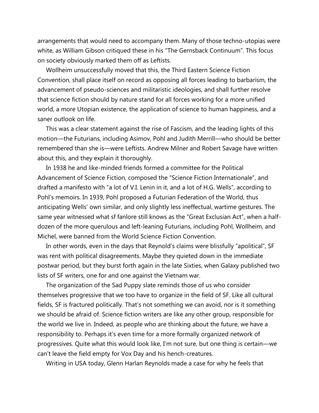arrangements that would need to accompany them. Many of those techno-utopias were white, as William Gibson critiqued these in his "The Gernsback Continuum". This focus on society obviously marked them off as Leftists.

 Wollheim unsuccessfully moved that this, the Third Eastern Science Fiction Convention, shall place itself on record as opposing all forces leading to barbarism, the advancement of pseudo-sciences and militaristic ideologies, and shall further resolve that science fiction should by nature stand for all forces working for a more unified world, a more Utopian existence, the application of science to human happiness, and a saner outlook on life.

 This was a clear statement against the rise of Fascism, and the leading lights of this motion—the Futurians, including Asimov, Pohl and Judith Merrill—who should be better remembered than she is—were Leftists. Andrew Milner and Robert Savage have written about this, and they explain it thoroughly.

 In 1938 he and like-minded friends formed a committee for the Political Advancement of Science Fiction, composed the "Science Fiction Internationale", and drafted a manifesto with "a lot of V.I. Lenin in it, and a lot of H.G. Wells", according to Pohl's memoirs. In 1939, Pohl proposed a Futurian Federation of the World, thus anticipating Wells' own similar, and only slightly less ineffectual, wartime gestures. The same year witnessed what sf fanlore still knows as the "Great Exclusian Act", when a halfdozen of the more querulous and left-leaning Futurians, including Pohl, Wollheim, and Michel, were banned from the World Science Fiction Convention.

 In other words, even in the days that Reynold's claims were blissfully "apolitical", SF was rent with political disagreements. Maybe they quieted down in the immediate postwar period, but they burst forth again in the late Sixties, when Galaxy published two lists of SF writers, one for and one against the Vietnam war.

 The organization of the Sad Puppy slate reminds those of us who consider themselves progressive that we too have to organize in the field of SF. Like all cultural fields, SF is fractured politically. That's not something we can avoid, nor is it something we should be afraid of. Science fiction writers are like any other group, responsible for the world we live in. Indeed, as people who are thinking about the future, we have a responsibility to. Perhaps it's even time for a more formally organized network of progressives. Quite what this would look like, I'm not sure, but one thing is certain—we can't leave the field empty for Vox Day and his hench-creatures.

Writing in USA today, Glenn Harlan Reynolds made a case for why he feels that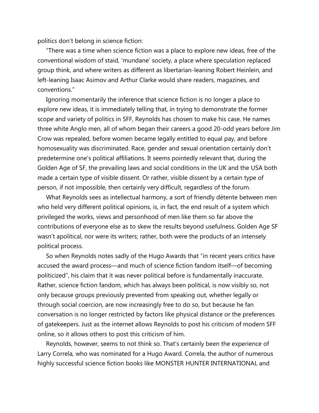politics don't belong in science fiction:

 "There was a time when science fiction was a place to explore new ideas, free of the conventional wisdom of staid, 'mundane' society, a place where speculation replaced group think, and where writers as different as libertarian-leaning Robert Heinlein, and left-leaning Isaac Asimov and Arthur Clarke would share readers, magazines, and conventions."

 Ignoring momentarily the inference that science fiction is no longer a place to explore new ideas, it is immediately telling that, in trying to demonstrate the former scope and variety of politics in SFF, Reynolds has chosen to make his case. He names three white Anglo men, all of whom began their careers a good 20-odd years before Jim Crow was repealed, before women became legally entitled to equal pay, and before homosexuality was discriminated. Race, gender and sexual orientation certainly don't predetermine one's political affiliations. It seems pointedly relevant that, during the Golden Age of SF, the prevailing laws and social conditions in the UK and the USA both made a certain type of visible dissent. Or rather, visible dissent by a certain type of person, if not impossible, then certainly very difficult, regardless of the forum.

 What Reynolds sees as intellectual harmony, a sort of friendly détente between men who held very different political opinions, is, in fact, the end result of a system which privileged the works, views and personhood of men like them so far above the contributions of everyone else as to skew the results beyond usefulness. Golden Age SF wasn't apolitical, nor were its writers; rather, both were the products of an intensely political process.

 So when Reynolds notes sadly of the Hugo Awards that "in recent years critics have accused the award process—and much of science fiction fandom itself—of becoming politicized", his claim that it was never political before is fundamentally inaccurate. Rather, science fiction fandom, which has always been political, is now visibly so, not only because groups previously prevented from speaking out, whether legally or through social coercion, are now increasingly free to do so, but because he fan conversation is no longer restricted by factors like physical distance or the preferences of gatekeepers. Just as the internet allows Reynolds to post his criticism of modern SFF online, so it allows others to post this criticism of him.

 Reynolds, however, seems to not think so. That's certainly been the experience of Larry Correla, who was nominated for a Hugo Award. Correla, the author of numerous highly successful science fiction books like MONSTER HUNTER INTERNATIONAL and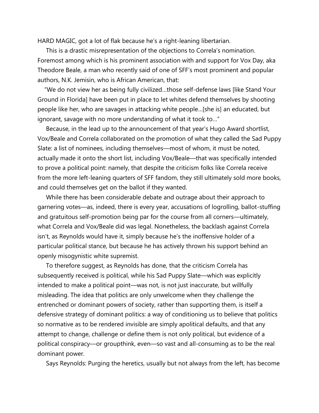HARD MAGIC, got a lot of flak because he's a right-leaning libertarian.

 This is a drastic misrepresentation of the objections to Correla's nomination. Foremost among which is his prominent association with and support for Vox Day, aka Theodore Beale, a man who recently said of one of SFF's most prominent and popular authors, N.K. Jemisin, who is African American, that:

 "We do not view her as being fully civilized…those self-defense laws [like Stand Your Ground in Florida] have been put in place to let whites defend themselves by shooting people like her, who are savages in attacking white people…[she is] an educated, but ignorant, savage with no more understanding of what it took to…"

 Because, in the lead up to the announcement of that year's Hugo Award shortlist, Vox/Beale and Correla collaborated on the promotion of what they called the Sad Puppy Slate: a list of nominees, including themselves—most of whom, it must be noted, actually made it onto the short list, including Vox/Beale—that was specifically intended to prove a political point: namely, that despite the criticism folks like Correla receive from the more left-leaning quarters of SFF fandom, they still ultimately sold more books, and could themselves get on the ballot if they wanted.

 While there has been considerable debate and outrage about their approach to garnering votes—as, indeed, there is every year, accusations of logrolling, ballot-stuffing and gratuitous self-promotion being par for the course from all corners—ultimately, what Correla and Vox/Beale did was legal. Nonetheless, the backlash against Correla isn't, as Reynolds would have it, simply because he's the inoffensive holder of a particular political stance, but because he has actively thrown his support behind an openly misogynistic white supremist.

 To therefore suggest, as Reynolds has done, that the criticism Correla has subsequently received is political, while his Sad Puppy Slate—which was explicitly intended to make a political point—was not, is not just inaccurate, but willfully misleading. The idea that politics are only unwelcome when they challenge the entrenched or dominant powers of society, rather than supporting them, is itself a defensive strategy of dominant politics: a way of conditioning us to believe that politics so normative as to be rendered invisible are simply apolitical defaults, and that any attempt to change, challenge or define them is not only political, but evidence of a political conspiracy—or groupthink, even—so vast and all-consuming as to be the real dominant power.

Says Reynolds: Purging the heretics, usually but not always from the left, has become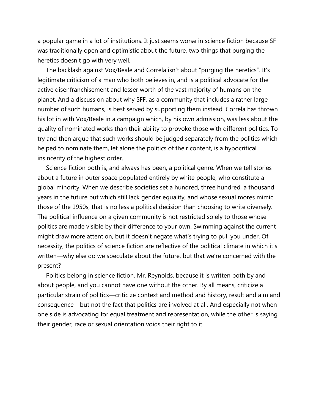a popular game in a lot of institutions. It just seems worse in science fiction because SF was traditionally open and optimistic about the future, two things that purging the heretics doesn't go with very well.

 The backlash against Vox/Beale and Correla isn't about "purging the heretics". It's legitimate criticism of a man who both believes in, and is a political advocate for the active disenfranchisement and lesser worth of the vast majority of humans on the planet. And a discussion about why SFF, as a community that includes a rather large number of such humans, is best served by supporting them instead. Correla has thrown his lot in with Vox/Beale in a campaign which, by his own admission, was less about the quality of nominated works than their ability to provoke those with different politics. To try and then argue that such works should be judged separately from the politics which helped to nominate them, let alone the politics of their content, is a hypocritical insincerity of the highest order.

 Science fiction both is, and always has been, a political genre. When we tell stories about a future in outer space populated entirely by white people, who constitute a global minority. When we describe societies set a hundred, three hundred, a thousand years in the future but which still lack gender equality, and whose sexual mores mimic those of the 1950s, that is no less a political decision than choosing to write diversely. The political influence on a given community is not restricted solely to those whose politics are made visible by their difference to your own. Swimming against the current might draw more attention, but it doesn't negate what's trying to pull you under. Of necessity, the politics of science fiction are reflective of the political climate in which it's written—why else do we speculate about the future, but that we're concerned with the present?

 Politics belong in science fiction, Mr. Reynolds, because it is written both by and about people, and you cannot have one without the other. By all means, criticize a particular strain of politics—criticize context and method and history, result and aim and consequence—but not the fact that politics are involved at all. And especially not when one side is advocating for equal treatment and representation, while the other is saying their gender, race or sexual orientation voids their right to it.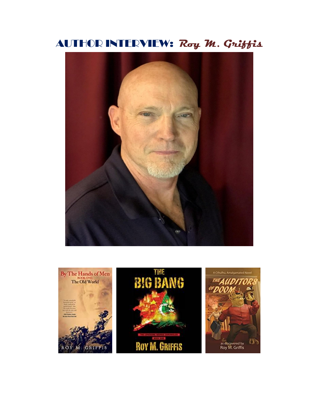# AUTHOR INTERVIEW: **Roy M. Griffis**



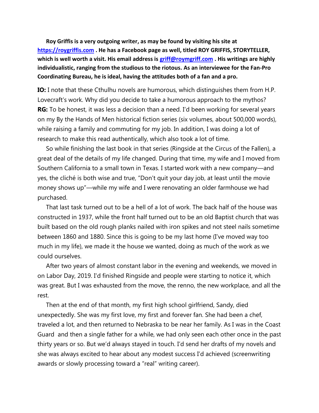**Roy Griffis is a very outgoing writer, as may be found by visiting his site at [https://roygriffis.com](https://roygriffis.com/) . He has a Facebook page as well, titled ROY GRIFFIS, STORYTELLER, which is well worth a visit. His email address is [griff@roymgriff.com](mailto:griff@roymgriff.com) . His writings are highly individualistic, ranging from the studious to the riotous. As an interviewee for the Fan-Pro Coordinating Bureau, he is ideal, having the attitudes both of a fan and a pro.**

**IO:** I note that these Cthulhu novels are humorous, which distinguishes them from H.P. Lovecraft's work. Why did you decide to take a humorous approach to the mythos? **RG:** To be honest, it was less a decision than a need. I'd been working for several years on my By the Hands of Men historical fiction series (six volumes, about 500,000 words), while raising a family and commuting for my job. In addition, I was doing a lot of research to make this read authentically, which also took a lot of time.

 So while finishing the last book in that series (Ringside at the Circus of the Fallen), a great deal of the details of my life changed. During that time, my wife and I moved from Southern California to a small town in Texas. I started work with a new company—and yes, the cliché is both wise and true, "Don't quit your day job, at least until the movie money shows up"—while my wife and I were renovating an older farmhouse we had purchased.

 That last task turned out to be a hell of a lot of work. The back half of the house was constructed in 1937, while the front half turned out to be an old Baptist church that was built based on the old rough planks nailed with iron spikes and not steel nails sometime between 1860 and 1880. Since this is going to be my last home (I've moved way too much in my life), we made it the house we wanted, doing as much of the work as we could ourselves.

 After two years of almost constant labor in the evening and weekends, we moved in on Labor Day, 2019. I'd finished Ringside and people were starting to notice it, which was great. But I was exhausted from the move, the renno, the new workplace, and all the rest.

 Then at the end of that month, my first high school girlfriend, Sandy, died unexpectedly. She was my first love, my first and forever fan. She had been a chef, traveled a lot, and then returned to Nebraska to be near her family. As I was in the Coast Guard and then a single father for a while, we had only seen each other once in the past thirty years or so. But we'd always stayed in touch. I'd send her drafts of my novels and she was always excited to hear about any modest success I'd achieved (screenwriting awards or slowly processing toward a "real" writing career).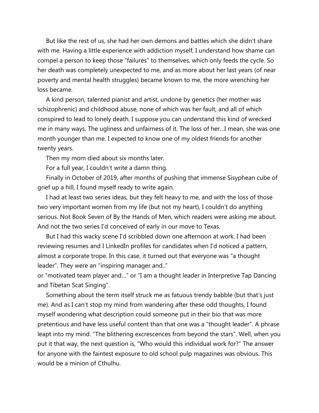But like the rest of us, she had her own demons and battles which she didn't share with me. Having a little experience with addiction myself, I understand how shame can compel a person to keep those "failures" to themselves, which only feeds the cycle. So her death was completely unexpected to me, and as more about her last years (of near poverty and mental health struggles) became known to me, the more wrenching her loss became.

 A kind person, talented pianist and artist, undone by genetics (her mother was schizophrenic) and childhood abuse, none of which was her fault, and all of which conspired to lead to lonely death. I suppose you can understand this kind of wrecked me in many ways. The ugliness and unfairness of it. The loss of her…I mean, she was one month younger than me. I expected to know one of my oldest friends for another twenty years.

Then my mom died about six months later.

For a full year, I couldn't write a damn thing.

 Finally in October of 2019, after months of pushing that immense Sisyphean cube of grief up a hill, I found myself ready to write again.

 I had at least two series ideas, but they felt heavy to me, and with the loss of those two very important women from my life (but not my heart), I couldn't do anything serious. Not Book Seven of By the Hands of Men, which readers were asking me about. And not the two series I'd conceived of early in our move to Texas.

 But I had this wacky scene I'd scribbled down one afternoon at work. I had been reviewing resumes and I LinkedIn profiles for candidates when I'd noticed a pattern, almost a corporate trope. In this case, it turned out that everyone was "a thought leader". They were an "inspiring manager and.."

or "motivated team player and…" or "I am a thought leader in Interpretive Tap Dancing and Tibetan Scat Singing".

 Something about the term itself struck me as fatuous trendy babble (but that's just me). And as I can't stop my mind from wandering after these odd thoughts, I found myself wondering what description could someone put in their bio that was more pretentious and have less useful content than that one was a "thought leader". A phrase leapt into my mind. "The blithering excrescences from beyond the stars". Well, when you put it that way, the next question is, "Who would this individual work for?" The answer for anyone with the faintest exposure to old school pulp magazines was obvious. This would be a minion of Cthulhu.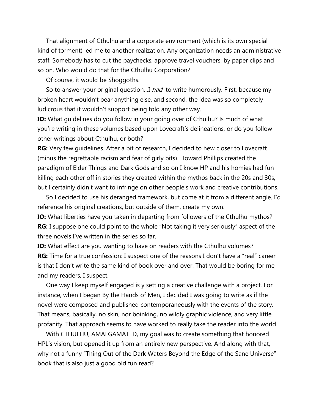That alignment of Cthulhu and a corporate environment (which is its own special kind of torment) led me to another realization. Any organization needs an administrative staff. Somebody has to cut the paychecks, approve travel vouchers, by paper clips and so on. Who would do that for the Cthulhu Corporation?

Of course, it would be Shoggoths.

So to answer your original question...I *had* to write humorously. First, because my broken heart wouldn't bear anything else, and second, the idea was so completely ludicrous that it wouldn't support being told any other way.

**IO:** What guidelines do you follow in your going over of Cthulhu? Is much of what you're writing in these volumes based upon Lovecraft's delineations, or do you follow other writings about Cthulhu, or both?

**RG:** Very few guidelines. After a bit of research, I decided to hew closer to Lovecraft (minus the regrettable racism and fear of girly bits). Howard Phillips created the paradigm of Elder Things and Dark Gods and so on I know HP and his homies had fun killing each other off in stories they created within the mythos back in the 20s and 30s, but I certainly didn't want to infringe on other people's work and creative contributions.

 So I decided to use his deranged framework, but come at it from a different angle. I'd reference his original creations, but outside of them, create my own.

**IO:** What liberties have you taken in departing from followers of the Cthulhu mythos? **RG:** I suppose one could point to the whole "Not taking it very seriously" aspect of the three novels I've written in the series so far.

**IO:** What effect are you wanting to have on readers with the Cthulhu volumes? **RG:** Time for a true confession: I suspect one of the reasons I don't have a "real" career is that I don't write the same kind of book over and over. That would be boring for me, and my readers, I suspect.

 One way I keep myself engaged is y setting a creative challenge with a project. For instance, when I began By the Hands of Men, I decided I was going to write as if the novel were composed and published contemporaneously with the events of the story. That means, basically, no skin, nor boinking, no wildly graphic violence, and very little profanity. That approach seems to have worked to really take the reader into the world.

 With CTHULHU, AMALGAMATED, my goal was to create something that honored HPL's vision, but opened it up from an entirely new perspective. And along with that, why not a funny "Thing Out of the Dark Waters Beyond the Edge of the Sane Universe" book that is also just a good old fun read?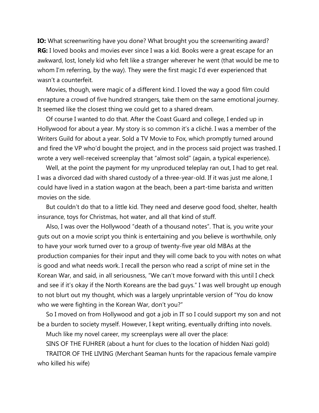**IO:** What screenwriting have you done? What brought you the screenwriting award? **RG:** I loved books and movies ever since I was a kid. Books were a great escape for an awkward, lost, lonely kid who felt like a stranger wherever he went (that would be me to whom I'm referring, by the way). They were the first magic I'd ever experienced that wasn't a counterfeit.

 Movies, though, were magic of a different kind. I loved the way a good film could enrapture a crowd of five hundred strangers, take them on the same emotional journey. It seemed like the closest thing we could get to a shared dream.

 Of course I wanted to do that. After the Coast Guard and college, I ended up in Hollywood for about a year. My story is so common it's a cliché. I was a member of the Writers Guild for about a year. Sold a TV Movie to Fox, which promptly turned around and fired the VP who'd bought the project, and in the process said project was trashed. I wrote a very well-received screenplay that "almost sold" (again, a typical experience).

 Well, at the point the payment for my unproduced teleplay ran out, I had to get real. I was a divorced dad with shared custody of a three-year-old. If it was just me alone, I could have lived in a station wagon at the beach, been a part-time barista and written movies on the side.

 But couldn't do that to a little kid. They need and deserve good food, shelter, health insurance, toys for Christmas, hot water, and all that kind of stuff.

 Also, I was over the Hollywood "death of a thousand notes". That is, you write your guts out on a movie script you think is entertaining and you believe is worthwhile, only to have your work turned over to a group of twenty-five year old MBAs at the production companies for their input and they will come back to you with notes on what is good and what needs work. I recall the person who read a script of mine set in the Korean War, and said, in all seriousness, "We can't move forward with this until I check and see if it's okay if the North Koreans are the bad guys." I was well brought up enough to not blurt out my thought, which was a largely unprintable version of "You do know who we were fighting in the Korean War, don't you?"

 So I moved on from Hollywood and got a job in IT so I could support my son and not be a burden to society myself. However, I kept writing, eventually drifting into novels.

Much like my novel career, my screenplays were all over the place:

 SINS OF THE FUHRER (about a hunt for clues to the location of hidden Nazi gold) TRAITOR OF THE LIVING (Merchant Seaman hunts for the rapacious female vampire who killed his wife)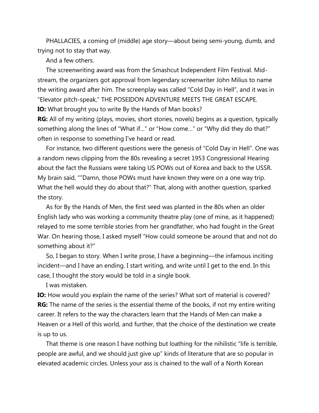PHALLACIES, a coming of (middle) age story—about being semi-young, dumb, and trying not to stay that way.

And a few others.

 The screenwriting award was from the Smashcut Independent Film Festival. Midstream, the organizers got approval from legendary screenwriter John Milius to name the writing award after him. The screenplay was called "Cold Day in Hell", and it was in "Elevator pitch-speak," THE POSEIDON ADVENTURE MEETS THE GREAT ESCAPE. **IO:** What brought you to write By the Hands of Man books?

**RG:** All of my writing (plays, movies, short stories, novels) begins as a question, typically something along the lines of "What if…" or "How come…" or "Why did they do that?" often in response to something I've heard or read.

 For instance, two different questions were the genesis of "Cold Day in Hell". One was a random news clipping from the 80s revealing a secret 1953 Congressional Hearing about the fact the Russians were taking US POWs out of Korea and back to the USSR. My brain said, ""Damn, those POWs must have known they were on a one way trip. What the hell would they do about that?" That, along with another question, sparked the story.

 As for By the Hands of Men, the first seed was planted in the 80s when an older English lady who was working a community theatre play (one of mine, as it happened) relayed to me some terrible stories from her grandfather, who had fought in the Great War. On hearing those, I asked myself "How could someone be around that and not do something about it?"

 So, I began to story. When I write prose, I have a beginning—the infamous inciting incident—and I have an ending. I start writing, and write until I get to the end. In this case, I thought the story would be told in a single book.

I was mistaken.

**IO:** How would you explain the name of the series? What sort of material is covered? **RG:** The name of the series is the essential theme of the books, if not my entire writing career. It refers to the way the characters learn that the Hands of Men can make a Heaven or a Hell of this world, and further, that the choice of the destination we create is up to us.

 That theme is one reason I have nothing but loathing for the nihilistic "life is terrible, people are awful, and we should just give up" kinds of literature that are so popular in elevated academic circles. Unless your ass is chained to the wall of a North Korean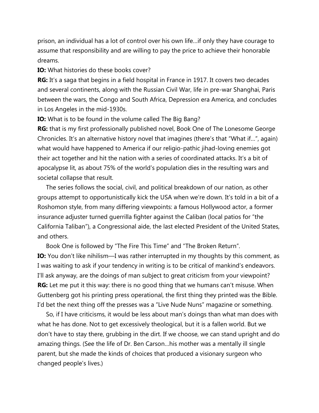prison, an individual has a lot of control over his own life…if only they have courage to assume that responsibility and are willing to pay the price to achieve their honorable dreams.

**IO:** What histories do these books cover?

**RG:** It's a saga that begins in a field hospital in France in 1917. It covers two decades and several continents, along with the Russian Civil War, life in pre-war Shanghai, Paris between the wars, the Congo and South Africa, Depression era America, and concludes in Los Angeles in the mid-1930s.

**IO:** What is to be found in the volume called The Big Bang?

**RG:** that is my first professionally published novel, Book One of The Lonesome George Chronicles. It's an alternative history novel that imagines (there's that "What if…", again) what would have happened to America if our religio-pathic jihad-loving enemies got their act together and hit the nation with a series of coordinated attacks. It's a bit of apocalypse lit, as about 75% of the world's population dies in the resulting wars and societal collapse that result.

 The series follows the social, civil, and political breakdown of our nation, as other groups attempt to opportunistically kick the USA when we're down. It's told in a bit of a Roshomon style, from many differing viewpoints: a famous Hollywood actor, a former insurance adjuster turned guerrilla fighter against the Caliban (local patios for "the California Taliban"), a Congressional aide, the last elected President of the United States, and others.

 Book One is followed by "The Fire This Time" and "The Broken Return". **IO:** You don't like nihilism—I was rather interrupted in my thoughts by this comment, as I was waiting to ask if your tendency in writing is to be critical of mankind's endeavors. I'll ask anyway, are the doings of man subject to great criticism from your viewpoint? **RG:** Let me put it this way: there is no good thing that we humans can't misuse. When Guttenberg got his printing press operational, the first thing they printed was the Bible. I'd bet the next thing off the presses was a "Live Nude Nuns" magazine or something.

 So, if I have criticisms, it would be less about man's doings than what man does with what he has done. Not to get excessively theological, but it is a fallen world. But we don't have to stay there, grubbing in the dirt. If we choose, we can stand upright and do amazing things. (See the life of Dr. Ben Carson…his mother was a mentally ill single parent, but she made the kinds of choices that produced a visionary surgeon who changed people's lives.)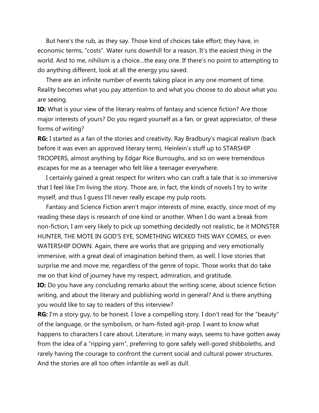But here's the rub, as they say. Those kind of choices take effort; they have, in economic terms, "costs". Water runs downhill for a reason. It's the easiest thing in the world. And to me, nihilism is a choice…the easy one. If there's no point to attempting to do anything different, look at all the energy you saved.

 There are an infinite number of events taking place in any one moment of time. Reality becomes what you pay attention to and what you choose to do about what you are seeing.

**IO:** What is your view of the literary realms of fantasy and science fiction? Are those major interests of yours? Do you regard yourself as a fan, or great appreciator, of these forms of writing?

**RG:** I started as a fan of the stories and creativity. Ray Bradbury's magical realism (back before it was even an approved literary term), Heinlein's stuff up to STARSHIP TROOPERS, almost anything by Edgar Rice Burroughs, and so on were tremendous escapes for me as a teenager who felt like a teenager everywhere.

 I certainly gained a great respect for writers who can craft a tale that is so immersive that I feel like I'm living the story. Those are, in fact, the kinds of novels I try to write myself, and thus I guess I'll never really escape my pulp roots.

 Fantasy and Science Fiction aren't major interests of mine, exactly, since most of my reading these days is research of one kind or another. When I do want a break from non-fiction, I am very likely to pick up something decidedly not realistic, be it MONSTER HUNTER, THE MOTE IN GOD'S EYE, SOMETHING WICKED THIS WAY COMES, or even WATERSHIP DOWN. Again, there are works that are gripping and very emotionally immersive, with a great deal of imagination behind them, as well. I love stories that surprise me and move me, regardless of the genre of topic. Those works that do take me on that kind of journey have my respect, admiration, and gratitude.

**IO:** Do you have any concluding remarks about the writing scene, about science fiction writing, and about the literary and publishing world in general? And is there anything you would like to say to readers of this interview?

**RG:** I'm a story guy, to be honest. I love a compelling story. I don't read for the "beauty" of the language, or the symbolism, or ham-fisted agit-prop. I want to know what happens to characters I care about. Literature, in many ways, seems to have gotten away from the idea of a "ripping yarn", preferring to gore safely well-gored shibboleths, and rarely having the courage to confront the current social and cultural power structures. And the stories are all too often infantile as well as dull.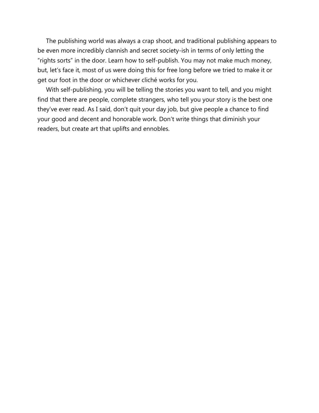The publishing world was always a crap shoot, and traditional publishing appears to be even more incredibly clannish and secret society-ish in terms of only letting the "rights sorts" in the door. Learn how to self-publish. You may not make much money, but, let's face it, most of us were doing this for free long before we tried to make it or get our foot in the door or whichever cliché works for you.

 With self-publishing, you will be telling the stories you want to tell, and you might find that there are people, complete strangers, who tell you your story is the best one they've ever read. As I said, don't quit your day job, but give people a chance to find your good and decent and honorable work. Don't write things that diminish your readers, but create art that uplifts and ennobles.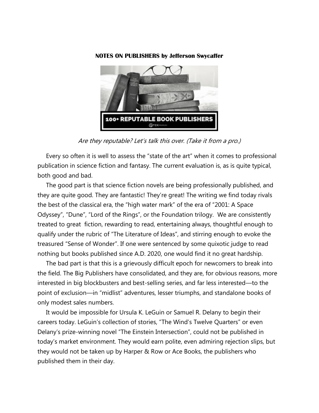**NOTES ON PUBLISHERS by Jefferson Swycaffer**



Are they reputable? Let's talk this over. (Take it from a pro.)

 Every so often it is well to assess the "state of the art" when it comes to professional publication in science fiction and fantasy. The current evaluation is, as is quite typical, both good and bad.

 The good part is that science fiction novels are being professionally published, and they are quite good. They are fantastic! They're great! The writing we find today rivals the best of the classical era, the "high water mark" of the era of "2001: A Space Odyssey", "Dune", "Lord of the Rings", or the Foundation trilogy. We are consistently treated to great fiction, rewarding to read, entertaining always, thoughtful enough to qualify under the rubric of "The Literature of Ideas", and stirring enough to evoke the treasured "Sense of Wonder". If one were sentenced by some quixotic judge to read nothing but books published since A.D. 2020, one would find it no great hardship.

 The bad part is that this is a grievously difficult epoch for newcomers to break into the field. The Big Publishers have consolidated, and they are, for obvious reasons, more interested in big blockbusters and best-selling series, and far less interested—to the point of exclusion—in "midlist" adventures, lesser triumphs, and standalone books of only modest sales numbers.

 It would be impossible for Ursula K. LeGuin or Samuel R. Delany to begin their careers today. LeGuin's collection of stories, "The Wind's Twelve Quarters" or even Delany's prize-winning novel "The Einstein Intersection", could not be published in today's market environment. They would earn polite, even admiring rejection slips, but they would not be taken up by Harper & Row or Ace Books, the publishers who published them in their day.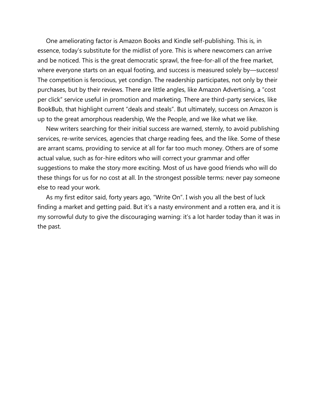One ameliorating factor is Amazon Books and Kindle self-publishing. This is, in essence, today's substitute for the midlist of yore. This is where newcomers can arrive and be noticed. This is the great democratic sprawl, the free-for-all of the free market, where everyone starts on an equal footing, and success is measured solely by—success! The competition is ferocious, yet condign. The readership participates, not only by their purchases, but by their reviews. There are little angles, like Amazon Advertising, a "cost per click" service useful in promotion and marketing. There are third-party services, like BookBub, that highlight current "deals and steals". But ultimately, success on Amazon is up to the great amorphous readership, We the People, and we like what we like.

 New writers searching for their initial success are warned, sternly, to avoid publishing services, re-write services, agencies that charge reading fees, and the like. Some of these are arrant scams, providing to service at all for far too much money. Others are of some actual value, such as for-hire editors who will correct your grammar and offer suggestions to make the story more exciting. Most of us have good friends who will do these things for us for no cost at all. In the strongest possible terms: never pay someone else to read your work.

 As my first editor said, forty years ago, "Write On". I wish you all the best of luck finding a market and getting paid. But it's a nasty environment and a rotten era, and it is my sorrowful duty to give the discouraging warning: it's a lot harder today than it was in the past.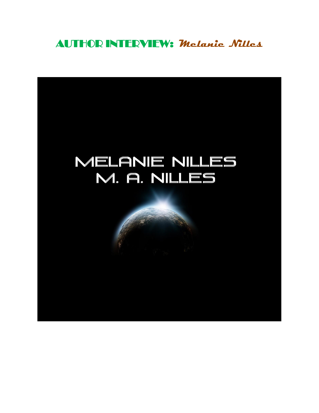AUTHOR INTERVIEW: **Melanie Nilles**

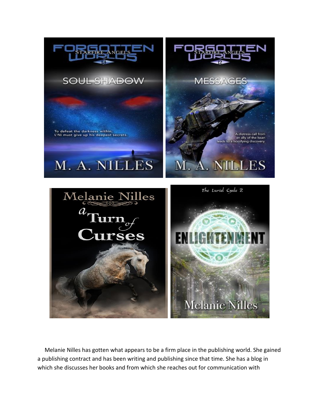

 Melanie Nilles has gotten what appears to be a firm place in the publishing world. She gained a publishing contract and has been writing and publishing since that time. She has a blog in which she discusses her books and from which she reaches out for communication with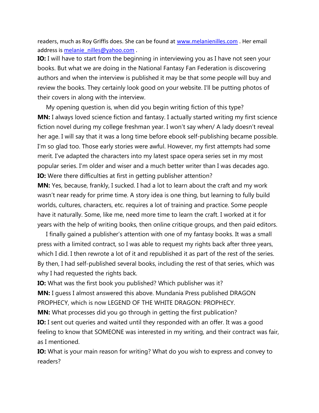readers, much as Roy Griffis does. She can be found at [www.melanienilles.com](http://www.melanienilles.com/) . Her email address is [melanie\\_nilles@yahoo.com](mailto:melanie_nilles@yahoo.com) .

**IO:** I will have to start from the beginning in interviewing you as I have not seen your books. But what we are doing in the National Fantasy Fan Federation is discovering authors and when the interview is published it may be that some people will buy and review the books. They certainly look good on your website. I'll be putting photos of their covers in along with the interview.

 My opening question is, when did you begin writing fiction of this type? **MN:** I always loved science fiction and fantasy. I actually started writing my first science fiction novel during my college freshman year. I won't say when/ A lady doesn't reveal her age. I will say that it was a long time before ebook self-publishing became possible. I'm so glad too. Those early stories were awful. However, my first attempts had some merit. I've adapted the characters into my latest space opera series set in my most popular series. I'm older and wiser and a much better writer than I was decades ago. **IO:** Were there difficulties at first in getting publisher attention?

**MN:** Yes, because, frankly, I sucked. I had a lot to learn about the craft and my work wasn't near ready for prime time. A story idea is one thing, but learning to fully build worlds, cultures, characters, etc. requires a lot of training and practice. Some people have it naturally. Some, like me, need more time to learn the craft. I worked at it for years with the help of writing books, then online critique groups, and then paid editors.

 I finally gained a publisher's attention with one of my fantasy books. It was a small press with a limited contract, so I was able to request my rights back after three years, which I did. I then rewrote a lot of it and republished it as part of the rest of the series. By then, I had self-published several books, including the rest of that series, which was why I had requested the rights back.

**IO:** What was the first book you published? Which publisher was it?

**MN:** I guess I almost answered this above. Mundania Press published DRAGON PROPHECY, which is now LEGEND OF THE WHITE DRAGON: PROPHECY.

**MN:** What processes did you go through in getting the first publication?

**IO:** I sent out queries and waited until they responded with an offer. It was a good feeling to know that SOMEONE was interested in my writing, and their contract was fair, as I mentioned.

**IO:** What is your main reason for writing? What do you wish to express and convey to readers?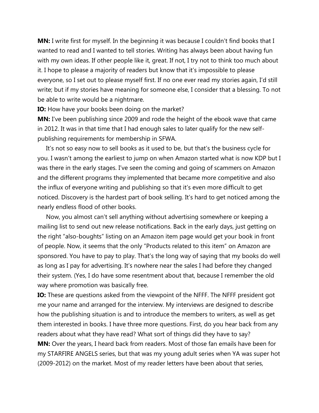**MN:** I write first for myself. In the beginning it was because I couldn't find books that I wanted to read and I wanted to tell stories. Writing has always been about having fun with my own ideas. If other people like it, great. If not, I try not to think too much about it. I hope to please a majority of readers but know that it's impossible to please everyone, so I set out to please myself first. If no one ever read my stories again, I'd still write; but if my stories have meaning for someone else, I consider that a blessing. To not be able to write would be a nightmare.

**IO:** How have your books been doing on the market?

**MN:** I've been publishing since 2009 and rode the height of the ebook wave that came in 2012. It was in that time that I had enough sales to later qualify for the new selfpublishing requirements for membership in SFWA.

 It's not so easy now to sell books as it used to be, but that's the business cycle for you. I wasn't among the earliest to jump on when Amazon started what is now KDP but I was there in the early stages. I've seen the coming and going of scammers on Amazon and the different programs they implemented that became more competitive and also the influx of everyone writing and publishing so that it's even more difficult to get noticed. Discovery is the hardest part of book selling. It's hard to get noticed among the nearly endless flood of other books.

 Now, you almost can't sell anything without advertising somewhere or keeping a mailing list to send out new release notifications. Back in the early days, just getting on the right "also-boughts" listing on an Amazon item page would get your book in front of people. Now, it seems that the only "Products related to this item" on Amazon are sponsored. You have to pay to play. That's the long way of saying that my books do well as long as I pay for advertising. It's nowhere near the sales I had before they changed their system. (Yes, I do have some resentment about that, because I remember the old way where promotion was basically free.

**IO:** These are questions asked from the viewpoint of the NFFF. The NFFF president got me your name and arranged for the interview. My interviews are designed to describe how the publishing situation is and to introduce the members to writers, as well as get them interested in books. I have three more questions. First, do you hear back from any readers about what they have read? What sort of things did they have to say? **MN:** Over the years, I heard back from readers. Most of those fan emails have been for my STARFIRE ANGELS series, but that was my young adult series when YA was super hot (2009-2012) on the market. Most of my reader letters have been about that series,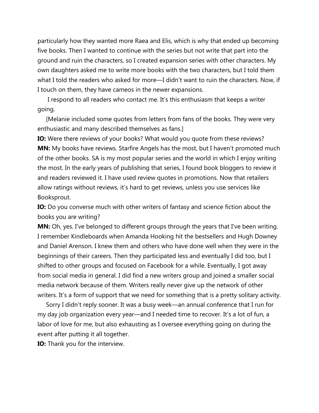particularly how they wanted more Raea and Elis, which is why that ended up becoming five books. Then I wanted to continue with the series but not write that part into the ground and ruin the characters, so I created expansion series with other characters. My own daughters asked me to write more books with the two characters, but I told them what I told the readers who asked for more—I didn't want to ruin the characters. Now, if I touch on them, they have cameos in the newer expansions.

 I respond to all readers who contact me. It's this enthusiasm that keeps a writer going.

 [Melanie included some quotes from letters from fans of the books. They were very enthusiastic and many described themselves as fans.]

**IO:** Were there reviews of your books? What would you quote from these reviews? **MN:** My books have reviews. Starfire Angels has the most, but I haven't promoted much of the other books. SA is my most popular series and the world in which I enjoy writing the most. In the early years of publishing that series, I found book bloggers to review it and readers reviewed it. I have used review quotes in promotions. Now that retailers allow ratings without reviews, it's hard to get reviews, unless you use services like Booksprout.

**IO:** Do you converse much with other writers of fantasy and science fiction about the books you are writing?

**MN:** Oh, yes. I've belonged to different groups through the years that I've been writing. I remember Kindleboards when Amanda Hooking hit the bestsellers and Hugh Downey and Daniel Arenson. I knew them and others who have done well when they were in the beginnings of their careers. Then they participated less and eventually I did too, but I shifted to other groups and focused on Facebook for a while. Eventually, I got away from social media in general. I did find a new writers group and joined a smaller social media network because of them. Writers really never give up the network of other writers. It's a form of support that we need for something that is a pretty solitary activity.

 Sorry I didn't reply sooner. It was a busy week—an annual conference that I run for my day job organization every year—and I needed time to recover. It's a lot of fun, a labor of love for me, but also exhausting as I oversee everything going on during the event after putting it all together.

**IO:** Thank you for the interview.